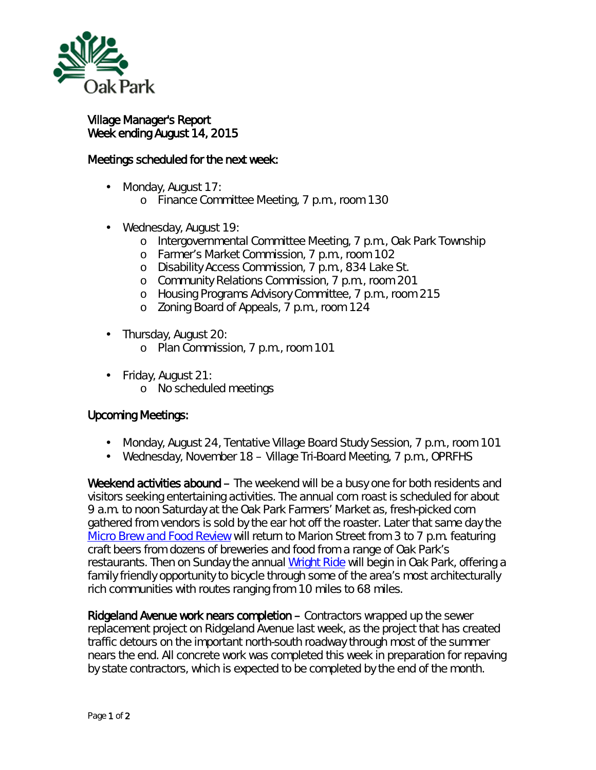

## Village Manager's Report Week ending August 14, 2015

## Meetings scheduled for the next week:

- Monday, August 17: ä,
	- o Finance Committee Meeting, 7 p.m., room 130
- ä, Wednesday, August 19:
	- o Intergovernmental Committee Meeting, 7 p.m., Oak Park Township
	- o Farmer's Market Commission, 7 p.m., room 102
	- o Disability Access Commission, 7 p.m., 834 Lake St.
	- o Community Relations Commission, 7 p.m., room 201
	- o Housing Programs Advisory Committee, 7 p.m., room 215
	- o Zoning Board of Appeals, 7 p.m., room 124
- $\mathbf{r}^{\prime}$ Thursday, August 20:
	- o Plan Commission, 7 p.m., room 101
- Friday, August 21: ä,
	- o No scheduled meetings

## Upcoming Meetings:

- Monday, August 24, Tentative Village Board Study Session, 7 p.m., room 101 ä.
- Wednesday, November 18 Village Tri-Board Meeting, 7 p.m., OPRFHS  $\mathbf{r}$

Weekend activities abound – The weekend will be a busy one for both residents and visitors seeking entertaining activities. The annual corn roast is scheduled for about 9 a.m. to noon Saturday at the Oak Park Farmers' Market as, fresh-picked corn gathered from vendors is sold by the ear hot off the roaster. Later that same day the *[Micro Brew and Food Review](https://sevengenerationsahead.org/events/oak-park-microbrew-and-food-review/)* will return to Marion Street from 3 to 7 p.m. featuring craft beers from dozens of breweries and food from a range of Oak Park's restaurants. Then on Sunday the annual [Wright Ride](http://www.oakparkcycleclub.org/wright-ride) will begin in Oak Park, offering a family friendly opportunity to bicycle through some of the area's most architecturally rich communities with routes ranging from 10 miles to 68 miles.

Ridgeland Avenue work nears completion – Contractors wrapped up the sewer replacement project on Ridgeland Avenue last week, as the project that has created traffic detours on the important north-south roadway through most of the summer nears the end. All concrete work was completed this week in preparation for repaving by state contractors, which is expected to be completed by the end of the month.